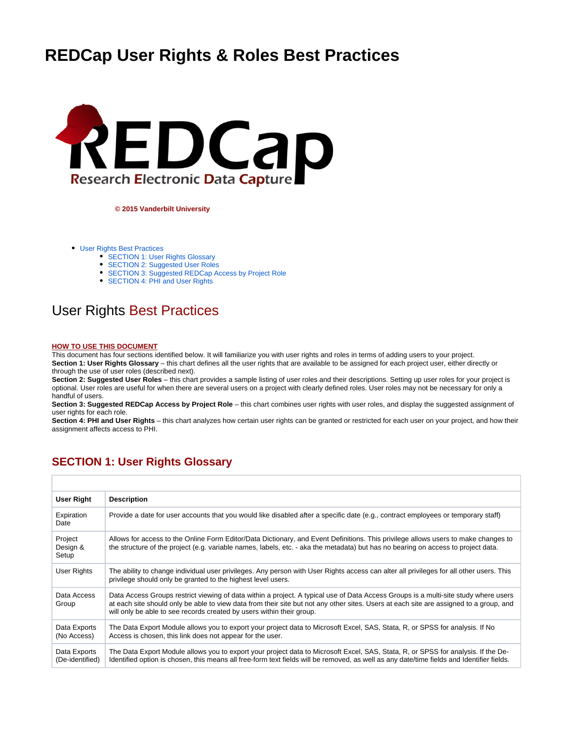# **REDCap User Rights & Roles Best Practices**



**© 2015 Vanderbilt University**

- [User Rights Best Practices](#page-0-0)
	- [SECTION 1: User Rights Glossary](#page-0-1)
	- [SECTION 2: Suggested User Roles](#page-2-0)
	- [SECTION 3: Suggested REDCap Access by Project Role](#page-2-1)
	- [SECTION 4: PHI and User Rights](#page-3-0)

### <span id="page-0-0"></span>User Rights Best Practices

#### **HOW TO USE THIS DOCUMENT**

This document has four sections identified below. It will familiarize you with user rights and roles in terms of adding users to your project. **Section 1: User Rights Glossary** – this chart defines all the user rights that are available to be assigned for each project user, either directly or through the use of user roles (described next).

**Section 2: Suggested User Roles** – this chart provides a sample listing of user roles and their descriptions. Setting up user roles for your project is optional. User roles are useful for when there are several users on a project with clearly defined roles. User roles may not be necessary for only a handful of users.

**Section 3: Suggested REDCap Access by Project Role** – this chart combines user rights with user roles, and display the suggested assignment of user rights for each role.

**Section 4: PHI and User Rights** – this chart analyzes how certain user rights can be granted or restricted for each user on your project, and how their assignment affects access to PHI.

### <span id="page-0-1"></span>**SECTION 1: User Rights Glossary**

| <b>User Right</b>               | <b>Description</b>                                                                                                                                                                                                                                                                                                                                     |
|---------------------------------|--------------------------------------------------------------------------------------------------------------------------------------------------------------------------------------------------------------------------------------------------------------------------------------------------------------------------------------------------------|
| Expiration<br>Date              | Provide a date for user accounts that you would like disabled after a specific date (e.g., contract employees or temporary staff)                                                                                                                                                                                                                      |
| Project<br>Design &<br>Setup    | Allows for access to the Online Form Editor/Data Dictionary, and Event Definitions. This privilege allows users to make changes to<br>the structure of the project (e.g. variable names, labels, etc. - aka the metadata) but has no bearing on access to project data.                                                                                |
| User Rights                     | The ability to change individual user privileges. Any person with User Rights access can alter all privileges for all other users. This<br>privilege should only be granted to the highest level users.                                                                                                                                                |
| Data Access<br>Group            | Data Access Groups restrict viewing of data within a project. A typical use of Data Access Groups is a multi-site study where users<br>at each site should only be able to view data from their site but not any other sites. Users at each site are assigned to a group, and<br>will only be able to see records created by users within their group. |
| Data Exports<br>(No Access)     | The Data Export Module allows you to export your project data to Microsoft Excel, SAS, Stata, R, or SPSS for analysis. If No<br>Access is chosen, this link does not appear for the user.                                                                                                                                                              |
| Data Exports<br>(De-identified) | The Data Export Module allows you to export your project data to Microsoft Excel, SAS, Stata, R, or SPSS for analysis. If the De-<br>Identified option is chosen, this means all free-form text fields will be removed, as well as any date/time fields and Identifier fields.                                                                         |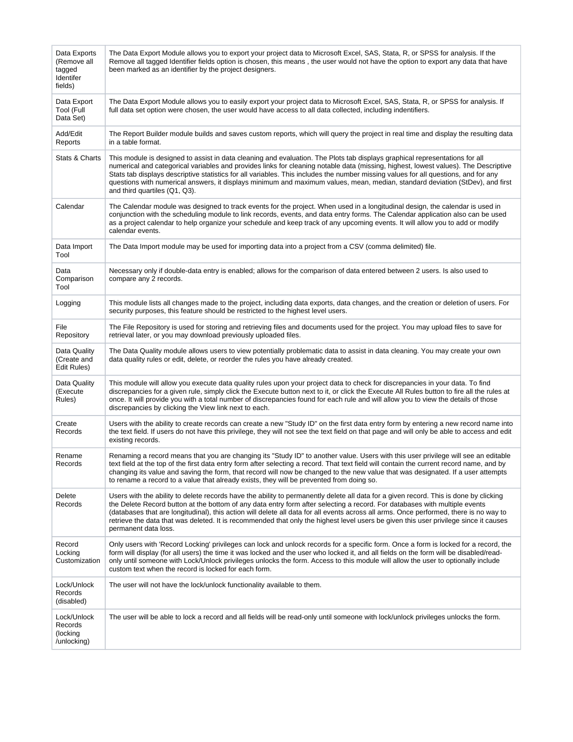| Data Exports<br>(Remove all<br>tagged<br>Identifer<br>fields) | The Data Export Module allows you to export your project data to Microsoft Excel, SAS, Stata, R, or SPSS for analysis. If the<br>Remove all tagged Identifier fields option is chosen, this means, the user would not have the option to export any data that have<br>been marked as an identifier by the project designers.                                                                                                                                                                                                                                                  |
|---------------------------------------------------------------|-------------------------------------------------------------------------------------------------------------------------------------------------------------------------------------------------------------------------------------------------------------------------------------------------------------------------------------------------------------------------------------------------------------------------------------------------------------------------------------------------------------------------------------------------------------------------------|
| Data Export<br>Tool (Full<br>Data Set)                        | The Data Export Module allows you to easily export your project data to Microsoft Excel, SAS, Stata, R, or SPSS for analysis. If<br>full data set option were chosen, the user would have access to all data collected, including indentifiers.                                                                                                                                                                                                                                                                                                                               |
| Add/Edit<br>Reports                                           | The Report Builder module builds and saves custom reports, which will query the project in real time and display the resulting data<br>in a table format.                                                                                                                                                                                                                                                                                                                                                                                                                     |
| Stats & Charts                                                | This module is designed to assist in data cleaning and evaluation. The Plots tab displays graphical representations for all<br>numerical and categorical variables and provides links for cleaning notable data (missing, highest, lowest values). The Descriptive<br>Stats tab displays descriptive statistics for all variables. This includes the number missing values for all questions, and for any<br>questions with numerical answers, it displays minimum and maximum values, mean, median, standard deviation (StDev), and first<br>and third quartiles (Q1, Q3).   |
| Calendar                                                      | The Calendar module was designed to track events for the project. When used in a longitudinal design, the calendar is used in<br>conjunction with the scheduling module to link records, events, and data entry forms. The Calendar application also can be used<br>as a project calendar to help organize your schedule and keep track of any upcoming events. It will allow you to add or modify<br>calendar events.                                                                                                                                                        |
| Data Import<br>Tool                                           | The Data Import module may be used for importing data into a project from a CSV (comma delimited) file.                                                                                                                                                                                                                                                                                                                                                                                                                                                                       |
| Data<br>Comparison<br>Tool                                    | Necessary only if double-data entry is enabled; allows for the comparison of data entered between 2 users. Is also used to<br>compare any 2 records.                                                                                                                                                                                                                                                                                                                                                                                                                          |
| Logging                                                       | This module lists all changes made to the project, including data exports, data changes, and the creation or deletion of users. For<br>security purposes, this feature should be restricted to the highest level users.                                                                                                                                                                                                                                                                                                                                                       |
| File<br>Repository                                            | The File Repository is used for storing and retrieving files and documents used for the project. You may upload files to save for<br>retrieval later, or you may download previously uploaded files.                                                                                                                                                                                                                                                                                                                                                                          |
| Data Quality<br>(Create and<br>Edit Rules)                    | The Data Quality module allows users to view potentially problematic data to assist in data cleaning. You may create your own<br>data quality rules or edit, delete, or reorder the rules you have already created.                                                                                                                                                                                                                                                                                                                                                           |
| Data Quality<br>(Execute<br>Rules)                            | This module will allow you execute data quality rules upon your project data to check for discrepancies in your data. To find<br>discrepancies for a given rule, simply click the Execute button next to it, or click the Execute All Rules button to fire all the rules at<br>once. It will provide you with a total number of discrepancies found for each rule and will allow you to view the details of those<br>discrepancies by clicking the View link next to each.                                                                                                    |
| Create<br>Records                                             | Users with the ability to create records can create a new "Study ID" on the first data entry form by entering a new record name into<br>the text field. If users do not have this privilege, they will not see the text field on that page and will only be able to access and edit<br>existing records.                                                                                                                                                                                                                                                                      |
| Rename<br>Records                                             | Renaming a record means that you are changing its "Study ID" to another value. Users with this user privilege will see an editable<br>text field at the top of the first data entry form after selecting a record. That text field will contain the current record name, and by<br>changing its value and saving the form, that record will now be changed to the new value that was designated. If a user attempts<br>to rename a record to a value that already exists, they will be prevented from doing so.                                                               |
| Delete<br>Records                                             | Users with the ability to delete records have the ability to permanently delete all data for a given record. This is done by clicking<br>the Delete Record button at the bottom of any data entry form after selecting a record. For databases with multiple events<br>(databases that are longitudinal), this action will delete all data for all events across all arms. Once performed, there is no way to<br>retrieve the data that was deleted. It is recommended that only the highest level users be given this user privilege since it causes<br>permanent data loss. |
| Record<br>Locking<br>Customization                            | Only users with 'Record Locking' privileges can lock and unlock records for a specific form. Once a form is locked for a record, the<br>form will display (for all users) the time it was locked and the user who locked it, and all fields on the form will be disabled/read-<br>only until someone with Lock/Unlock privileges unlocks the form. Access to this module will allow the user to optionally include<br>custom text when the record is locked for each form.                                                                                                    |
| Lock/Unlock<br>Records<br>(disabled)                          | The user will not have the lock/unlock functionality available to them.                                                                                                                                                                                                                                                                                                                                                                                                                                                                                                       |
| Lock/Unlock<br>Records<br>(locking<br>/unlocking)             | The user will be able to lock a record and all fields will be read-only until someone with lock/unlock privileges unlocks the form.                                                                                                                                                                                                                                                                                                                                                                                                                                           |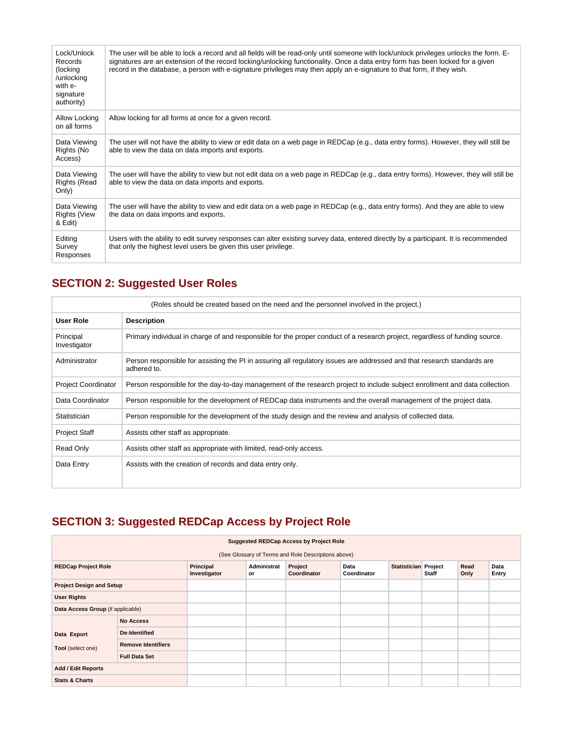| Lock/Unlock<br>Records<br>(locking<br>/unlocking<br>with e-<br>signature<br>authority) | The user will be able to lock a record and all fields will be read-only until someone with lock/unlock privileges unlocks the form. E-<br>signatures are an extension of the record locking/unlocking functionality. Once a data entry form has been locked for a given<br>record in the database, a person with e-signature privileges may then apply an e-signature to that form, if they wish. |
|----------------------------------------------------------------------------------------|---------------------------------------------------------------------------------------------------------------------------------------------------------------------------------------------------------------------------------------------------------------------------------------------------------------------------------------------------------------------------------------------------|
| Allow Locking<br>on all forms                                                          | Allow locking for all forms at once for a given record.                                                                                                                                                                                                                                                                                                                                           |
| Data Viewing<br>Rights (No<br>Access)                                                  | The user will not have the ability to view or edit data on a web page in REDCap (e.g., data entry forms). However, they will still be<br>able to view the data on data imports and exports.                                                                                                                                                                                                       |
| Data Viewing<br><b>Rights (Read</b><br>Only)                                           | The user will have the ability to view but not edit data on a web page in REDCap (e.g., data entry forms). However, they will still be<br>able to view the data on data imports and exports.                                                                                                                                                                                                      |
| Data Viewing<br><b>Rights (View</b><br>& Edit)                                         | The user will have the ability to view and edit data on a web page in REDCap (e.g., data entry forms). And they are able to view<br>the data on data imports and exports.                                                                                                                                                                                                                         |
| Editing<br>Survey<br>Responses                                                         | Users with the ability to edit survey responses can alter existing survey data, entered directly by a participant. It is recommended<br>that only the highest level users be given this user privilege.                                                                                                                                                                                           |

## <span id="page-2-0"></span>**SECTION 2: Suggested User Roles**

|                            | (Roles should be created based on the need and the personnel involved in the project.)                                                 |  |  |  |  |  |
|----------------------------|----------------------------------------------------------------------------------------------------------------------------------------|--|--|--|--|--|
| User Role                  | <b>Description</b>                                                                                                                     |  |  |  |  |  |
| Principal<br>Investigator  | Primary individual in charge of and responsible for the proper conduct of a research project, regardless of funding source.            |  |  |  |  |  |
| Administrator              | Person responsible for assisting the PI in assuring all regulatory issues are addressed and that research standards are<br>adhered to. |  |  |  |  |  |
| <b>Project Coordinator</b> | Person responsible for the day-to-day management of the research project to include subject enrollment and data collection.            |  |  |  |  |  |
| Data Coordinator           | Person responsible for the development of REDCap data instruments and the overall management of the project data.                      |  |  |  |  |  |
| Statistician               | Person responsible for the development of the study design and the review and analysis of collected data.                              |  |  |  |  |  |
| <b>Project Staff</b>       | Assists other staff as appropriate.                                                                                                    |  |  |  |  |  |
| Read Only                  | Assists other staff as appropriate with limited, read-only access.                                                                     |  |  |  |  |  |
| Data Entry                 | Assists with the creation of records and data entry only.                                                                              |  |  |  |  |  |

# <span id="page-2-1"></span>**SECTION 3: Suggested REDCap Access by Project Role**

| <b>Suggested REDCap Access by Project Role</b> |                                                     |                           |                   |                        |                     |                             |       |              |               |
|------------------------------------------------|-----------------------------------------------------|---------------------------|-------------------|------------------------|---------------------|-----------------------------|-------|--------------|---------------|
|                                                | (See Glossary of Terms and Role Descriptions above) |                           |                   |                        |                     |                             |       |              |               |
| <b>REDCap Project Role</b>                     |                                                     | Principal<br>Investigator | Administrat<br>or | Project<br>Coordinator | Data<br>Coordinator | <b>Statistician Project</b> | Staff | Read<br>Only | Data<br>Entry |
| <b>Project Design and Setup</b>                |                                                     |                           |                   |                        |                     |                             |       |              |               |
| <b>User Rights</b>                             |                                                     |                           |                   |                        |                     |                             |       |              |               |
| Data Access Group (if applicable)              |                                                     |                           |                   |                        |                     |                             |       |              |               |
|                                                | <b>No Access</b>                                    |                           |                   |                        |                     |                             |       |              |               |
| Data Export                                    | <b>De-Identified</b>                                |                           |                   |                        |                     |                             |       |              |               |
| Tool (select one)                              | <b>Remove Identifiers</b>                           |                           |                   |                        |                     |                             |       |              |               |
|                                                | <b>Full Data Set</b>                                |                           |                   |                        |                     |                             |       |              |               |
| <b>Add / Edit Reports</b>                      |                                                     |                           |                   |                        |                     |                             |       |              |               |
| <b>Stats &amp; Charts</b>                      |                                                     |                           |                   |                        |                     |                             |       |              |               |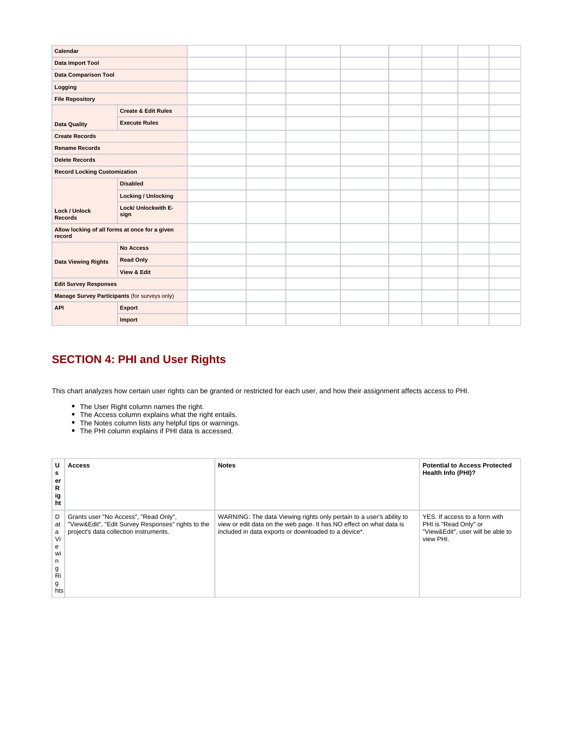| Calendar                                       |  |  |  |  |  |
|------------------------------------------------|--|--|--|--|--|
|                                                |  |  |  |  |  |
|                                                |  |  |  |  |  |
|                                                |  |  |  |  |  |
|                                                |  |  |  |  |  |
| <b>Create &amp; Edit Rules</b>                 |  |  |  |  |  |
| <b>Execute Rules</b>                           |  |  |  |  |  |
|                                                |  |  |  |  |  |
|                                                |  |  |  |  |  |
|                                                |  |  |  |  |  |
| <b>Record Locking Customization</b>            |  |  |  |  |  |
| <b>Disabled</b>                                |  |  |  |  |  |
| <b>Locking / Unlocking</b>                     |  |  |  |  |  |
| Lock/ Unlockwith E-<br>sign                    |  |  |  |  |  |
| Allow locking of all forms at once for a given |  |  |  |  |  |
| <b>No Access</b>                               |  |  |  |  |  |
| <b>Read Only</b>                               |  |  |  |  |  |
| <b>View &amp; Edit</b>                         |  |  |  |  |  |
| <b>Edit Survey Responses</b>                   |  |  |  |  |  |
| Manage Survey Participants (for surveys only)  |  |  |  |  |  |
| Export                                         |  |  |  |  |  |
| Import                                         |  |  |  |  |  |
|                                                |  |  |  |  |  |

### <span id="page-3-0"></span>**SECTION 4: PHI and User Rights**

This chart analyzes how certain user rights can be granted or restricted for each user, and how their assignment affects access to PHI.

- The User Right column names the right.
- The Access column explains what the right entails.
- The Notes column lists any helpful tips or warnings.
- The PHI column explains if PHI data is accessed.

| U<br>s<br>er<br>R<br>ig<br>ht                             | Access                                                                                                                                | <b>Notes</b>                                                                                                                                                                                        | <b>Potential to Access Protected</b><br>Health Info (PHI)?                                               |
|-----------------------------------------------------------|---------------------------------------------------------------------------------------------------------------------------------------|-----------------------------------------------------------------------------------------------------------------------------------------------------------------------------------------------------|----------------------------------------------------------------------------------------------------------|
| D<br>at<br>a<br>Vi<br>e<br>WI<br>n<br>g<br>Ri<br>g<br>hts | Grants user "No Access", "Read Only",<br>"View&Edit", "Edit Survey Responses" rights to the<br>project's data collection instruments. | WARNING: The data Viewing rights only pertain to a user's ability to<br>view or edit data on the web page. It has NO effect on what data is<br>included in data exports or downloaded to a device*. | YES. If access to a form with<br>PHI is "Read Only" or<br>"View&Edit", user will be able to<br>view PHI. |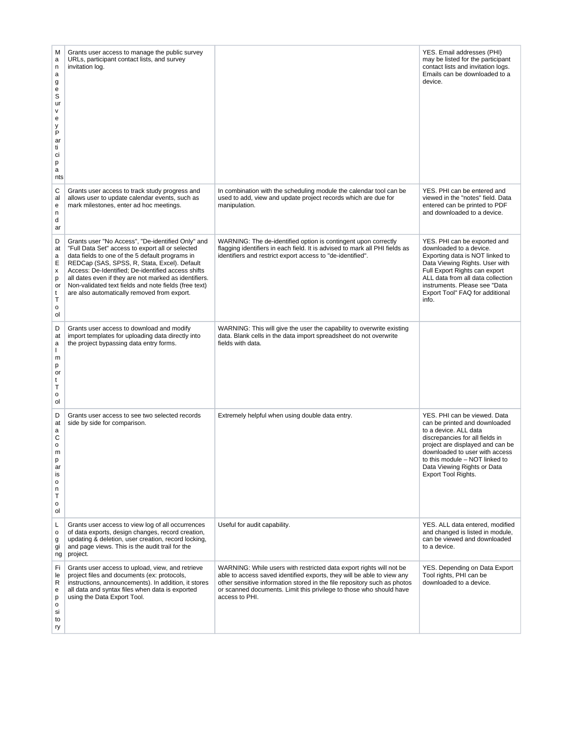| M<br>a<br>n<br>a<br>g<br>e<br>S<br>ur<br>٧<br>е<br>у<br>P<br>ar<br>ti<br>ci<br>р<br>a<br>nts | Grants user access to manage the public survey<br>URLs, participant contact lists, and survey<br>invitation log.                                                                                                                                                                                                                                                                                                                |                                                                                                                                                                                                                                                                                                                    | YES. Email addresses (PHI)<br>may be listed for the participant<br>contact lists and invitation logs.<br>Emails can be downloaded to a<br>device.                                                                                                                                       |
|----------------------------------------------------------------------------------------------|---------------------------------------------------------------------------------------------------------------------------------------------------------------------------------------------------------------------------------------------------------------------------------------------------------------------------------------------------------------------------------------------------------------------------------|--------------------------------------------------------------------------------------------------------------------------------------------------------------------------------------------------------------------------------------------------------------------------------------------------------------------|-----------------------------------------------------------------------------------------------------------------------------------------------------------------------------------------------------------------------------------------------------------------------------------------|
| C<br>al<br>e<br>n<br>d<br>ar                                                                 | Grants user access to track study progress and<br>allows user to update calendar events, such as<br>mark milestones, enter ad hoc meetings.                                                                                                                                                                                                                                                                                     | In combination with the scheduling module the calendar tool can be<br>used to add, view and update project records which are due for<br>manipulation.                                                                                                                                                              | YES. PHI can be entered and<br>viewed in the "notes" field. Data<br>entered can be printed to PDF<br>and downloaded to a device.                                                                                                                                                        |
| D<br>at<br>a<br>Ε<br>x<br>р<br>or<br>t<br>Τ<br>o<br>ol                                       | Grants user "No Access", "De-identified Only" and<br>"Full Data Set" access to export all or selected<br>data fields to one of the 5 default programs in<br>REDCap (SAS, SPSS, R, Stata, Excel). Default<br>Access: De-Identified; De-identified access shifts<br>all dates even if they are not marked as identifiers.<br>Non-validated text fields and note fields (free text)<br>are also automatically removed from export. | WARNING: The de-identified option is contingent upon correctly<br>flagging identifiers in each field. It is advised to mark all PHI fields as<br>identifiers and restrict export access to "de-identified".                                                                                                        | YES. PHI can be exported and<br>downloaded to a device.<br>Exporting data is NOT linked to<br>Data Viewing Rights. User with<br>Full Export Rights can export<br>ALL data from all data collection<br>instruments. Please see "Data<br>Export Tool" FAQ for additional<br>info.         |
| D<br>at<br>a<br>ı<br>m<br>p<br>or<br>t<br>Т<br>o<br>ol                                       | Grants user access to download and modify<br>import templates for uploading data directly into<br>the project bypassing data entry forms.                                                                                                                                                                                                                                                                                       | WARNING: This will give the user the capability to overwrite existing<br>data. Blank cells in the data import spreadsheet do not overwrite<br>fields with data.                                                                                                                                                    |                                                                                                                                                                                                                                                                                         |
| D<br>at<br>a<br>C<br>o<br>m<br>p<br>ar<br>is<br>$\mathsf{o}$<br>n<br>Τ<br>o<br>ol            | Grants user access to see two selected records<br>side by side for comparison.                                                                                                                                                                                                                                                                                                                                                  | Extremely helpful when using double data entry.                                                                                                                                                                                                                                                                    | YES. PHI can be viewed. Data<br>can be printed and downloaded<br>to a device. ALL data<br>discrepancies for all fields in<br>project are displayed and can be<br>downloaded to user with access<br>to this module - NOT linked to<br>Data Viewing Rights or Data<br>Export Tool Rights. |
| L<br>$\mathsf{o}$<br>g<br>gi<br>ng                                                           | Grants user access to view log of all occurrences<br>of data exports, design changes, record creation,<br>updating & deletion, user creation, record locking,<br>and page views. This is the audit trail for the<br>project.                                                                                                                                                                                                    | Useful for audit capability.                                                                                                                                                                                                                                                                                       | YES. ALL data entered, modified<br>and changed is listed in module,<br>can be viewed and downloaded<br>to a device.                                                                                                                                                                     |
| Fi<br>le<br>R<br>e<br>p<br>$\mathsf{o}$<br>si<br>to<br>ry                                    | Grants user access to upload, view, and retrieve<br>project files and documents (ex: protocols,<br>instructions, announcements). In addition, it stores<br>all data and syntax files when data is exported<br>using the Data Export Tool.                                                                                                                                                                                       | WARNING: While users with restricted data export rights will not be<br>able to access saved identified exports, they will be able to view any<br>other sensitive information stored in the file repository such as photos<br>or scanned documents. Limit this privilege to those who should have<br>access to PHI. | YES. Depending on Data Export<br>Tool rights, PHI can be<br>downloaded to a device.                                                                                                                                                                                                     |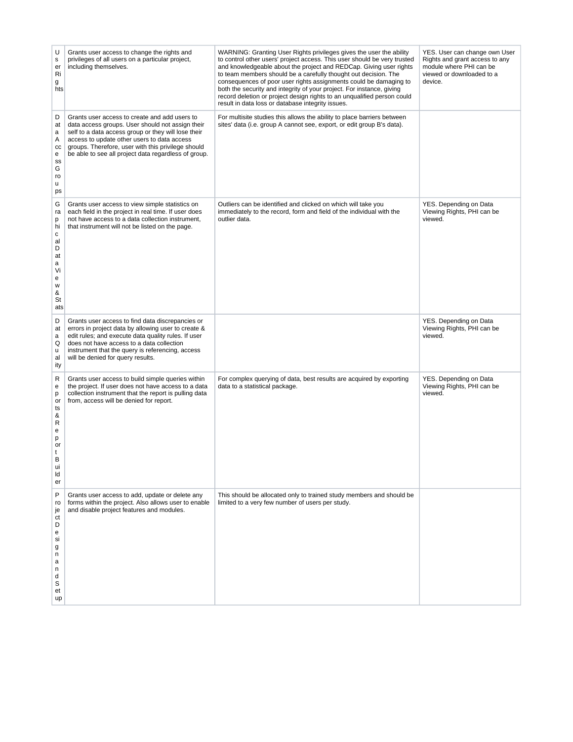| U<br>$\mathbf s$<br>er<br>Ri<br>g<br>hts                                        | Grants user access to change the rights and<br>privileges of all users on a particular project,<br>including themselves.                                                                                                                                                                                              | WARNING: Granting User Rights privileges gives the user the ability<br>to control other users' project access. This user should be very trusted<br>and knowledgeable about the project and REDCap. Giving user rights<br>to team members should be a carefully thought out decision. The<br>consequences of poor user rights assignments could be damaging to<br>both the security and integrity of your project. For instance, giving<br>record deletion or project design rights to an unqualified person could<br>result in data loss or database integrity issues. | YES. User can change own User<br>Rights and grant access to any<br>module where PHI can be<br>viewed or downloaded to a<br>device. |
|---------------------------------------------------------------------------------|-----------------------------------------------------------------------------------------------------------------------------------------------------------------------------------------------------------------------------------------------------------------------------------------------------------------------|------------------------------------------------------------------------------------------------------------------------------------------------------------------------------------------------------------------------------------------------------------------------------------------------------------------------------------------------------------------------------------------------------------------------------------------------------------------------------------------------------------------------------------------------------------------------|------------------------------------------------------------------------------------------------------------------------------------|
| D<br>at<br>a<br>Α<br>CC<br>e<br>SS<br>G<br>ro<br>u<br>ps                        | Grants user access to create and add users to<br>data access groups. User should not assign their<br>self to a data access group or they will lose their<br>access to update other users to data access<br>groups. Therefore, user with this privilege should<br>be able to see all project data regardless of group. | For multisite studies this allows the ability to place barriers between<br>sites' data (i.e. group A cannot see, export, or edit group B's data).                                                                                                                                                                                                                                                                                                                                                                                                                      |                                                                                                                                    |
| G<br>ra<br>p<br>hi<br>C<br>al<br>D<br>at<br>a<br>Vi<br>е<br>W<br>&<br>St<br>ats | Grants user access to view simple statistics on<br>each field in the project in real time. If user does<br>not have access to a data collection instrument,<br>that instrument will not be listed on the page.                                                                                                        | Outliers can be identified and clicked on which will take you<br>immediately to the record, form and field of the individual with the<br>outlier data.                                                                                                                                                                                                                                                                                                                                                                                                                 | YES. Depending on Data<br>Viewing Rights, PHI can be<br>viewed.                                                                    |
| D<br>at<br>a<br>Q<br>u<br>al<br>ity                                             | Grants user access to find data discrepancies or<br>errors in project data by allowing user to create &<br>edit rules; and execute data quality rules. If user<br>does not have access to a data collection<br>instrument that the query is referencing, access<br>will be denied for query results.                  |                                                                                                                                                                                                                                                                                                                                                                                                                                                                                                                                                                        | YES. Depending on Data<br>Viewing Rights, PHI can be<br>viewed.                                                                    |
| R<br>e<br>p<br>or<br>ts<br>&<br>R<br>e<br>р<br>or<br>t<br>B<br>ui<br>ld<br>er   | Grants user access to build simple queries within<br>the project. If user does not have access to a data<br>collection instrument that the report is pulling data<br>from, access will be denied for report.                                                                                                          | For complex querying of data, best results are acquired by exporting<br>data to a statistical package.                                                                                                                                                                                                                                                                                                                                                                                                                                                                 | YES. Depending on Data<br>Viewing Rights, PHI can be<br>viewed.                                                                    |
| P<br>ro<br>je<br>ct<br>D<br>е<br>si<br>g<br>n<br>a<br>n<br>d<br>S<br>et<br>up   | Grants user access to add, update or delete any<br>forms within the project. Also allows user to enable<br>and disable project features and modules.                                                                                                                                                                  | This should be allocated only to trained study members and should be<br>limited to a very few number of users per study.                                                                                                                                                                                                                                                                                                                                                                                                                                               |                                                                                                                                    |